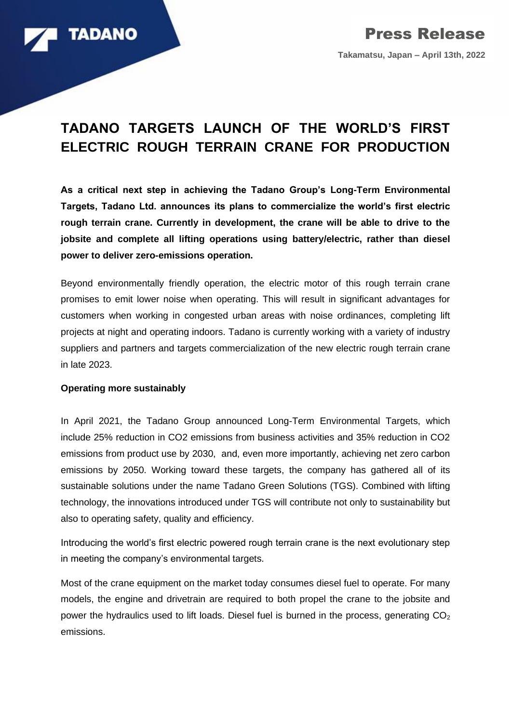

## **TADANO TARGETS LAUNCH OF THE WORLD'S FIRST ELECTRIC ROUGH TERRAIN CRANE FOR PRODUCTION**

**As a critical next step in achieving the Tadano Group's Long-Term Environmental Targets, Tadano Ltd. announces its plans to commercialize the world's first electric rough terrain crane. Currently in development, the crane will be able to drive to the jobsite and complete all lifting operations using battery/electric, rather than diesel power to deliver zero-emissions operation.**

Beyond environmentally friendly operation, the electric motor of this rough terrain crane promises to emit lower noise when operating. This will result in significant advantages for customers when working in congested urban areas with noise ordinances, completing lift projects at night and operating indoors. Tadano is currently working with a variety of industry suppliers and partners and targets commercialization of the new electric rough terrain crane in late 2023.

## **Operating more sustainably**

In April 2021, the Tadano Group announced Long-Term Environmental Targets, which include 25% reduction in CO2 emissions from business activities and 35% reduction in CO2 emissions from product use by 2030, and, even more importantly, achieving net zero carbon emissions by 2050. Working toward these targets, the company has gathered all of its sustainable solutions under the name Tadano Green Solutions (TGS). Combined with lifting technology, the innovations introduced under TGS will contribute not only to sustainability but also to operating safety, quality and efficiency.

Introducing the world's first electric powered rough terrain crane is the next evolutionary step in meeting the company's environmental targets.

Most of the crane equipment on the market today consumes diesel fuel to operate. For many models, the engine and drivetrain are required to both propel the crane to the jobsite and power the hydraulics used to lift loads. Diesel fuel is burned in the process, generating  $CO<sub>2</sub>$ emissions.